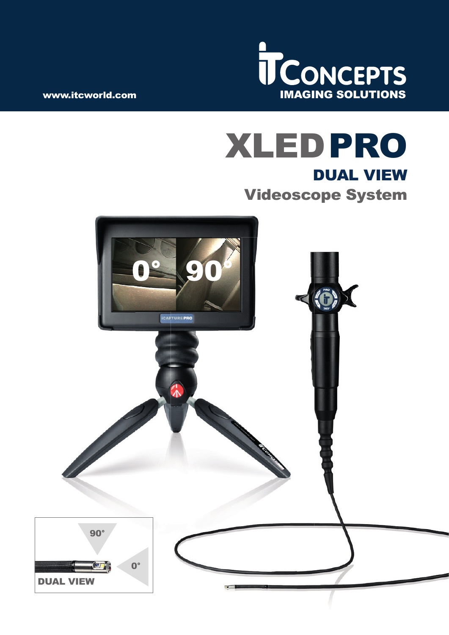

# XLED PRO DUAL VIEW Videoscope System